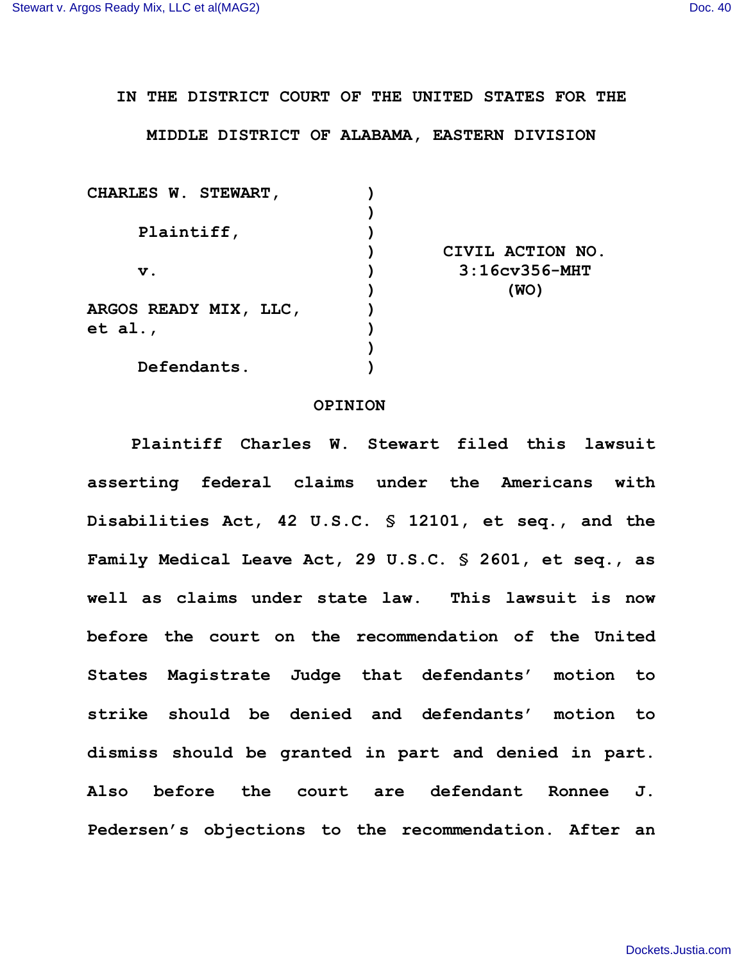## **IN THE DISTRICT COURT OF THE UNITED STATES FOR THE**

## **MIDDLE DISTRICT OF ALABAMA, EASTERN DIVISION**

| <b>CHARLES W. STEWART,</b>   |                      |
|------------------------------|----------------------|
|                              |                      |
| Plaintiff,                   |                      |
|                              | CIVIL ACTION NO.     |
| $\mathbf v$ .                | $3:16$ cv $356$ -MHT |
|                              | (WO)                 |
| <b>ARGOS READY MIX, LLC,</b> |                      |
| et al.,                      |                      |
|                              |                      |
| Defendants.                  |                      |
|                              |                      |

## **OPINION**

**Plaintiff Charles W. Stewart filed this lawsuit asserting federal claims under the Americans with Disabilities Act, 42 U.S.C. § 12101, et seq., and the Family Medical Leave Act, 29 U.S.C. § 2601, et seq., as well as claims under state law. This lawsuit is now before the court on the recommendation of the United States Magistrate Judge that defendants' motion to strike should be denied and defendants' motion to dismiss should be granted in part and denied in part. Also before the court are defendant Ronnee J. Pedersen's objections to the recommendation. After an**